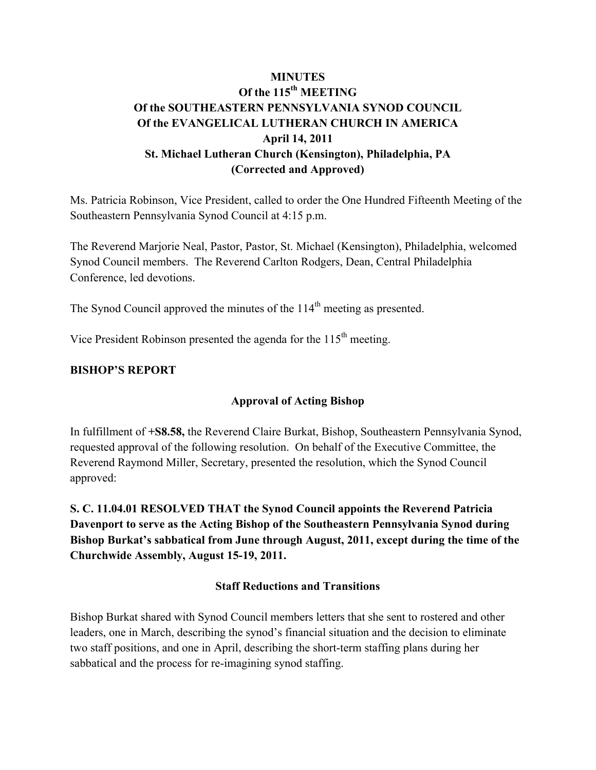# **MINUTES Of the 115th MEETING Of the SOUTHEASTERN PENNSYLVANIA SYNOD COUNCIL Of the EVANGELICAL LUTHERAN CHURCH IN AMERICA April 14, 2011 St. Michael Lutheran Church (Kensington), Philadelphia, PA (Corrected and Approved)**

Ms. Patricia Robinson, Vice President, called to order the One Hundred Fifteenth Meeting of the Southeastern Pennsylvania Synod Council at 4:15 p.m.

The Reverend Marjorie Neal, Pastor, Pastor, St. Michael (Kensington), Philadelphia, welcomed Synod Council members. The Reverend Carlton Rodgers, Dean, Central Philadelphia Conference, led devotions.

The Synod Council approved the minutes of the 114<sup>th</sup> meeting as presented.

Vice President Robinson presented the agenda for the  $115<sup>th</sup>$  meeting.

#### **BISHOP'S REPORT**

## **Approval of Acting Bishop**

In fulfillment of **+S8.58,** the Reverend Claire Burkat, Bishop, Southeastern Pennsylvania Synod, requested approval of the following resolution. On behalf of the Executive Committee, the Reverend Raymond Miller, Secretary, presented the resolution, which the Synod Council approved:

**S. C. 11.04.01 RESOLVED THAT the Synod Council appoints the Reverend Patricia Davenport to serve as the Acting Bishop of the Southeastern Pennsylvania Synod during Bishop Burkat's sabbatical from June through August, 2011, except during the time of the Churchwide Assembly, August 15-19, 2011.** 

#### **Staff Reductions and Transitions**

Bishop Burkat shared with Synod Council members letters that she sent to rostered and other leaders, one in March, describing the synod's financial situation and the decision to eliminate two staff positions, and one in April, describing the short-term staffing plans during her sabbatical and the process for re-imagining synod staffing.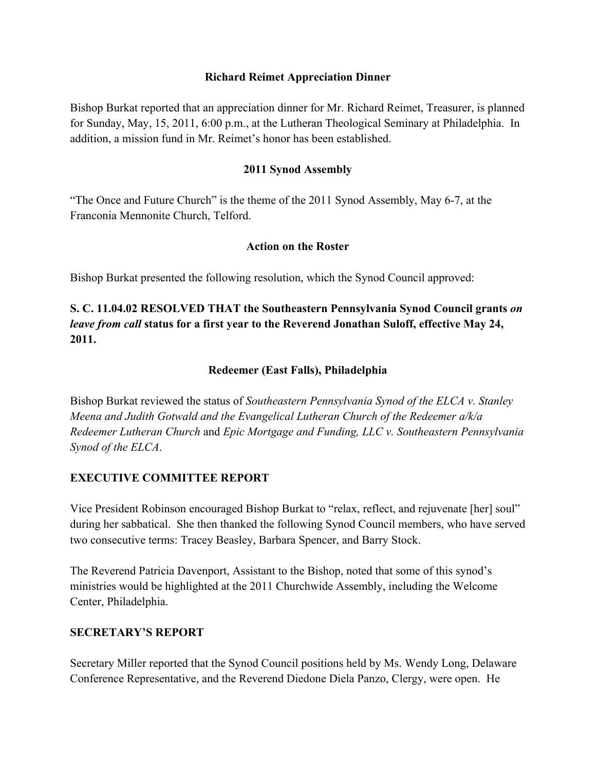#### **Richard Reimet Appreciation Dinner**

Bishop Burkat reported that an appreciation dinner for Mr. Richard Reimet, Treasurer, is planned for Sunday, May, 15, 2011, 6:00 p.m., at the Lutheran Theological Seminary at Philadelphia. In addition, a mission fund in Mr. Reimet's honor has been established.

#### **2011 Synod Assembly**

"The Once and Future Church" is the theme of the 2011 Synod Assembly, May 6-7, at the Franconia Mennonite Church, Telford.

#### **Action on the Roster**

Bishop Burkat presented the following resolution, which the Synod Council approved:

# **S. C. 11.04.02 RESOLVED THAT the Southeastern Pennsylvania Synod Council grants** *on leave from call* **status for a first year to the Reverend Jonathan Suloff, effective May 24, 2011.**

#### **Redeemer (East Falls), Philadelphia**

Bishop Burkat reviewed the status of *Southeastern Pennsylvania Synod of the ELCA v. Stanley Meena and Judith Gotwald and the Evangelical Lutheran Church of the Redeemer a/k/a Redeemer Lutheran Church* and *Epic Mortgage and Funding, LLC v. Southeastern Pennsylvania Synod of the ELCA*.

#### **EXECUTIVE COMMITTEE REPORT**

Vice President Robinson encouraged Bishop Burkat to "relax, reflect, and rejuvenate [her] soul" during her sabbatical. She then thanked the following Synod Council members, who have served two consecutive terms: Tracey Beasley, Barbara Spencer, and Barry Stock.

The Reverend Patricia Davenport, Assistant to the Bishop, noted that some of this synod's ministries would be highlighted at the 2011 Churchwide Assembly, including the Welcome Center, Philadelphia.

#### **SECRETARY'S REPORT**

Secretary Miller reported that the Synod Council positions held by Ms. Wendy Long, Delaware Conference Representative, and the Reverend Diedone Diela Panzo, Clergy, were open. He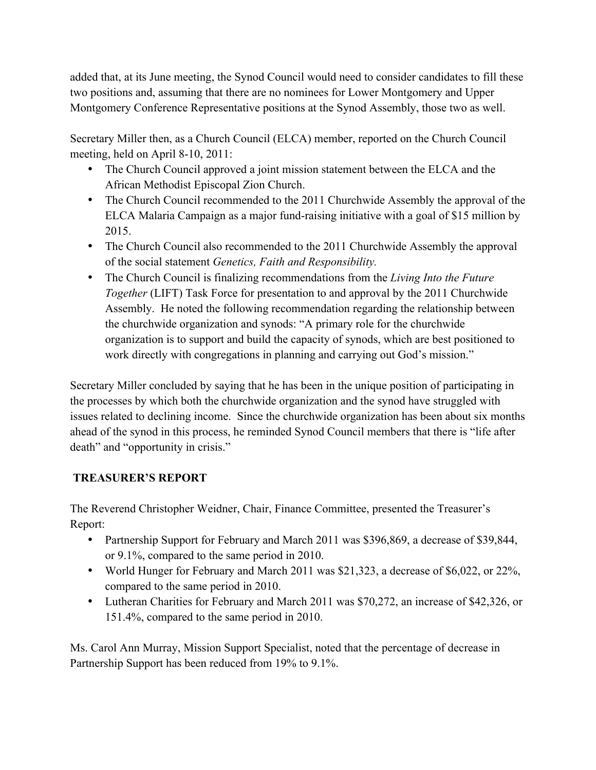added that, at its June meeting, the Synod Council would need to consider candidates to fill these two positions and, assuming that there are no nominees for Lower Montgomery and Upper Montgomery Conference Representative positions at the Synod Assembly, those two as well.

Secretary Miller then, as a Church Council (ELCA) member, reported on the Church Council meeting, held on April 8-10, 2011:

- The Church Council approved a joint mission statement between the ELCA and the African Methodist Episcopal Zion Church.
- The Church Council recommended to the 2011 Churchwide Assembly the approval of the ELCA Malaria Campaign as a major fund-raising initiative with a goal of \$15 million by 2015.
- The Church Council also recommended to the 2011 Churchwide Assembly the approval of the social statement *Genetics, Faith and Responsibility.*
- The Church Council is finalizing recommendations from the *Living Into the Future Together* (LIFT) Task Force for presentation to and approval by the 2011 Churchwide Assembly. He noted the following recommendation regarding the relationship between the churchwide organization and synods: "A primary role for the churchwide organization is to support and build the capacity of synods, which are best positioned to work directly with congregations in planning and carrying out God's mission."

Secretary Miller concluded by saying that he has been in the unique position of participating in the processes by which both the churchwide organization and the synod have struggled with issues related to declining income. Since the churchwide organization has been about six months ahead of the synod in this process, he reminded Synod Council members that there is "life after death" and "opportunity in crisis."

# **TREASURER'S REPORT**

The Reverend Christopher Weidner, Chair, Finance Committee, presented the Treasurer's Report:

- Partnership Support for February and March 2011 was \$396,869, a decrease of \$39,844, or 9.1%, compared to the same period in 2010.
- World Hunger for February and March 2011 was \$21,323, a decrease of \$6,022, or 22%, compared to the same period in 2010.
- Lutheran Charities for February and March 2011 was \$70,272, an increase of \$42,326, or 151.4%, compared to the same period in 2010.

Ms. Carol Ann Murray, Mission Support Specialist, noted that the percentage of decrease in Partnership Support has been reduced from 19% to 9.1%.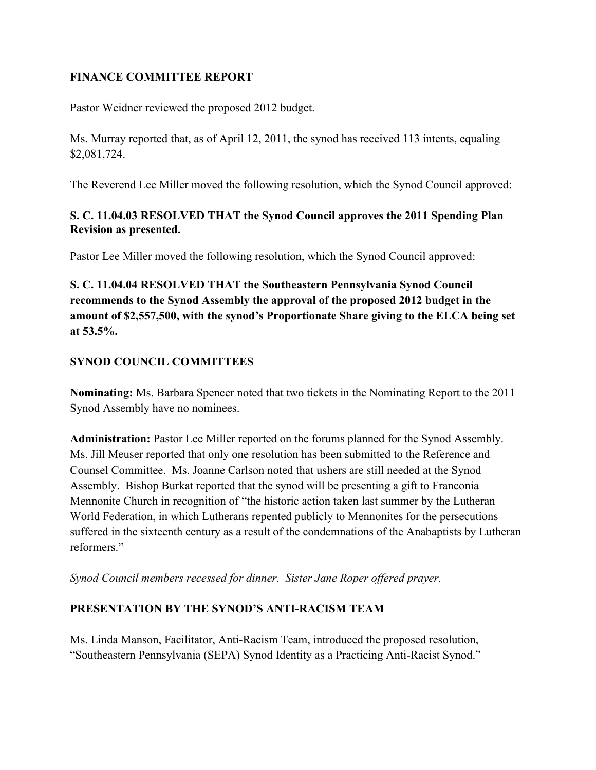#### **FINANCE COMMITTEE REPORT**

Pastor Weidner reviewed the proposed 2012 budget.

Ms. Murray reported that, as of April 12, 2011, the synod has received 113 intents, equaling \$2,081,724.

The Reverend Lee Miller moved the following resolution, which the Synod Council approved:

### **S. C. 11.04.03 RESOLVED THAT the Synod Council approves the 2011 Spending Plan Revision as presented.**

Pastor Lee Miller moved the following resolution, which the Synod Council approved:

**S. C. 11.04.04 RESOLVED THAT the Southeastern Pennsylvania Synod Council recommends to the Synod Assembly the approval of the proposed 2012 budget in the amount of \$2,557,500, with the synod's Proportionate Share giving to the ELCA being set at 53.5%.**

## **SYNOD COUNCIL COMMITTEES**

**Nominating:** Ms. Barbara Spencer noted that two tickets in the Nominating Report to the 2011 Synod Assembly have no nominees.

**Administration:** Pastor Lee Miller reported on the forums planned for the Synod Assembly. Ms. Jill Meuser reported that only one resolution has been submitted to the Reference and Counsel Committee. Ms. Joanne Carlson noted that ushers are still needed at the Synod Assembly. Bishop Burkat reported that the synod will be presenting a gift to Franconia Mennonite Church in recognition of "the historic action taken last summer by the Lutheran World Federation, in which Lutherans repented publicly to Mennonites for the persecutions suffered in the sixteenth century as a result of the condemnations of the Anabaptists by Lutheran reformers."

*Synod Council members recessed for dinner. Sister Jane Roper offered prayer.*

## **PRESENTATION BY THE SYNOD'S ANTI-RACISM TEAM**

Ms. Linda Manson, Facilitator, Anti-Racism Team, introduced the proposed resolution, "Southeastern Pennsylvania (SEPA) Synod Identity as a Practicing Anti-Racist Synod."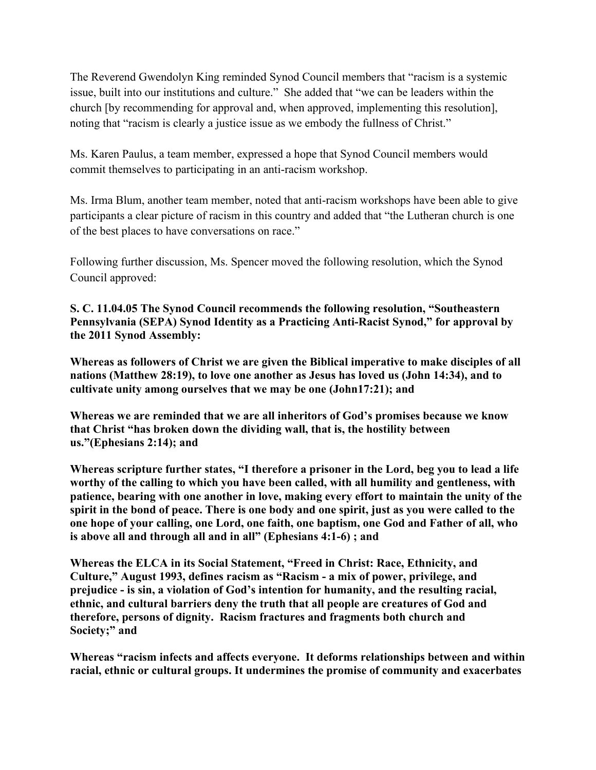The Reverend Gwendolyn King reminded Synod Council members that "racism is a systemic issue, built into our institutions and culture." She added that "we can be leaders within the church [by recommending for approval and, when approved, implementing this resolution], noting that "racism is clearly a justice issue as we embody the fullness of Christ."

Ms. Karen Paulus, a team member, expressed a hope that Synod Council members would commit themselves to participating in an anti-racism workshop.

Ms. Irma Blum, another team member, noted that anti-racism workshops have been able to give participants a clear picture of racism in this country and added that "the Lutheran church is one of the best places to have conversations on race."

Following further discussion, Ms. Spencer moved the following resolution, which the Synod Council approved:

**S. C. 11.04.05 The Synod Council recommends the following resolution, "Southeastern Pennsylvania (SEPA) Synod Identity as a Practicing Anti-Racist Synod," for approval by the 2011 Synod Assembly:**

**Whereas as followers of Christ we are given the Biblical imperative to make disciples of all nations (Matthew 28:19), to love one another as Jesus has loved us (John 14:34), and to cultivate unity among ourselves that we may be one (John17:21); and**

**Whereas we are reminded that we are all inheritors of God's promises because we know that Christ "has broken down the dividing wall, that is, the hostility between us."(Ephesians 2:14); and**

**Whereas scripture further states, "I therefore a prisoner in the Lord, beg you to lead a life worthy of the calling to which you have been called, with all humility and gentleness, with patience, bearing with one another in love, making every effort to maintain the unity of the spirit in the bond of peace. There is one body and one spirit, just as you were called to the one hope of your calling, one Lord, one faith, one baptism, one God and Father of all, who is above all and through all and in all" (Ephesians 4:1-6) ; and**

**Whereas the ELCA in its Social Statement, "Freed in Christ: Race, Ethnicity, and Culture," August 1993, defines racism as "Racism - a mix of power, privilege, and prejudice - is sin, a violation of God's intention for humanity, and the resulting racial, ethnic, and cultural barriers deny the truth that all people are creatures of God and therefore, persons of dignity. Racism fractures and fragments both church and Society;" and**

**Whereas "racism infects and affects everyone. It deforms relationships between and within racial, ethnic or cultural groups. It undermines the promise of community and exacerbates**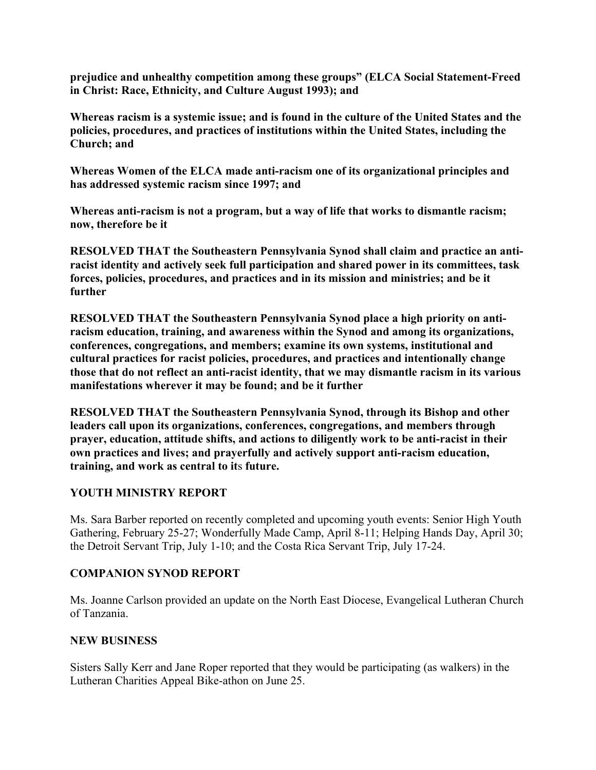**prejudice and unhealthy competition among these groups" (ELCA Social Statement-Freed in Christ: Race, Ethnicity, and Culture August 1993); and**

**Whereas racism is a systemic issue; and is found in the culture of the United States and the policies, procedures, and practices of institutions within the United States, including the Church; and**

**Whereas Women of the ELCA made anti-racism one of its organizational principles and has addressed systemic racism since 1997; and**

**Whereas anti-racism is not a program, but a way of life that works to dismantle racism; now, therefore be it**

**RESOLVED THAT the Southeastern Pennsylvania Synod shall claim and practice an antiracist identity and actively seek full participation and shared power in its committees, task forces, policies, procedures, and practices and in its mission and ministries; and be it further**

**RESOLVED THAT the Southeastern Pennsylvania Synod place a high priority on antiracism education, training, and awareness within the Synod and among its organizations, conferences, congregations, and members; examine its own systems, institutional and cultural practices for racist policies, procedures, and practices and intentionally change those that do not reflect an anti-racist identity, that we may dismantle racism in its various manifestations wherever it may be found; and be it further**

**RESOLVED THAT the Southeastern Pennsylvania Synod, through its Bishop and other leaders call upon its organizations, conferences, congregations, and members through prayer, education, attitude shifts, and actions to diligently work to be anti-racist in their own practices and lives; and prayerfully and actively support anti-racism education, training, and work as central to it**s **future.**

#### **YOUTH MINISTRY REPORT**

Ms. Sara Barber reported on recently completed and upcoming youth events: Senior High Youth Gathering, February 25-27; Wonderfully Made Camp, April 8-11; Helping Hands Day, April 30; the Detroit Servant Trip, July 1-10; and the Costa Rica Servant Trip, July 17-24.

#### **COMPANION SYNOD REPORT**

Ms. Joanne Carlson provided an update on the North East Diocese, Evangelical Lutheran Church of Tanzania.

#### **NEW BUSINESS**

Sisters Sally Kerr and Jane Roper reported that they would be participating (as walkers) in the Lutheran Charities Appeal Bike-athon on June 25.